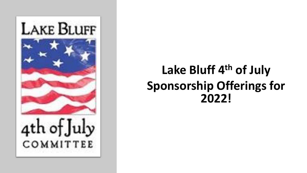

### **Lake Bluff 4th of July Sponsorship Offerings for 2022!**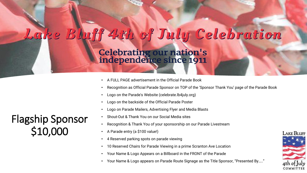## Lake Bluff 4th of July Celebration

Celebrating our nation's<br>independence since 1911

- A FULL PAGE advertisement in the Official Parade Book
- Recognition as Official Parade Sponsor on TOP of the 'Sponsor Thank You' page of the Parade Book
- Logo on the Parade's Website (celebrate.lb4july.org)
- Logo on the backside of the Official Parade Poster
- Logo on Parade Mailers, Advertising Flyer and Media Blasts
- Shout-Out & Thank You on our Social Media sites
- Recognition & Thank You of your sponsorship on our Parade Livestream
- A Parade entry (a \$100 value!)
- 4 Reserved parking spots on parade viewing
- 10 Reserved Chairs for Parade Viewing in a prime Scranton Ave Location
- Your Name & Logo Appears on a Billboard in the FRONT of the Parade
- Your Name & Logo appears on Parade Route Signage as the Title Sponsor, "Presented By….."



Flagship Sponsor \$10,000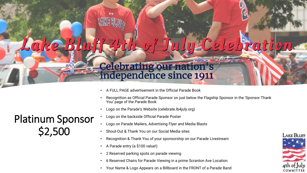# Lake

# Celebrating our nation's<br>independence since 1911

- A FULL PAGE advertisement in the Official Parade Book
- Recognition as Official Parade Sponsor on just below the Flagship Sponsor in the 'Sponsor Thank You' page of the Parade Book
- Logo on the Parade's Website (celebrate.lb4july.org)
- Logo on the backside Official Parade Poster
- Logo on Parade Mailers, Advertising Flyer and Media Blasts
- Shout-Out & Thank You on our Social Media sites
- Recognition & Thank You of your sponsorship on our Parade Livestream
- A Parade entry (a \$100 value!)
- 2 Reserved parking spots on parade viewing
- 6 Reserved Chairs for Parade Viewing in a prime Scranton Ave Location
- Your Name & Logo Appears on a Billboard in the FRONT of a Parade Band



#### Platinum Sponsor \$2,500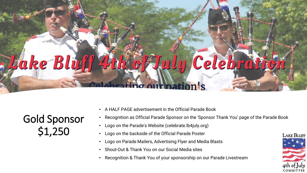# *Ake Bluff* **Tuly Celebrat** ng our nation's

Gold Sponsor \$1,250

- A HALF PAGE advertisement in the Official Parade Book
- Recognition as Official Parade Sponsor on the 'Sponsor Thank You' page of the Parade Book
- Logo on the Parade's Website (celebrate.lb4july.org)
- Logo on the backside of the Official Parade Poster
- Logo on Parade Mailers, Advertising Flyer and Media Blasts
- Shout-Out & Thank You on our Social Media sites
- Recognition & Thank You of your sponsorship on our Parade Livestream

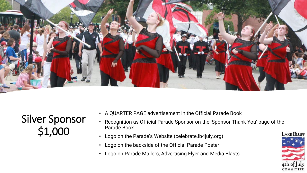

Silver Sponsor \$1,000

- A QUARTER PAGE advertisement in the Official Parade Book
- Recognition as Official Parade Sponsor on the 'Sponsor Thank You' page of the Parade Book
- Logo on the Parade's Website (celebrate.lb4july.org)
- Logo on the backside of the Official Parade Poster
- Logo on Parade Mailers, Advertising Flyer and Media Blasts

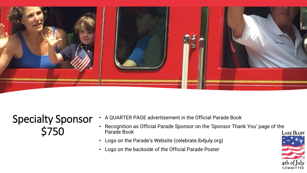

#### Specialty Sponsor \$750

- A QUARTER PAGE advertisement in the Official Parade Book
- Recognition as Official Parade Sponsor on the 'Sponsor Thank You' page of the Parade Book
- Logo on the Parade's Website (celebrate.lb4july.org)
- Logo on the backside of the Official Parade Poster

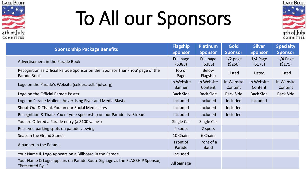

# To All our Sponsors



| <b>Sponsorship Package Benefits</b>                                                          | <b>Flagship</b><br><b>Sponsor</b> | <b>Platinum</b><br><b>Sponsor</b> | Gold<br><b>Sponsor</b> | <b>Silver</b><br><b>Sponsor</b> | <b>Specialty</b><br><b>Sponsor</b> |
|----------------------------------------------------------------------------------------------|-----------------------------------|-----------------------------------|------------------------|---------------------------------|------------------------------------|
| Advertisement in the Parade Book                                                             | Full page<br>(5385)               | Full page<br>(5385)               | $1/2$ page<br>(5250)   | $1/4$ Page<br>(5175)            | $1/4$ Page<br>(5175)               |
| Recognition as Official Parade Sponsor on the 'Sponsor Thank You' page of the<br>Parade Book | Top of<br>Page                    | <b>Below</b><br>Flagship          | Listed                 | Listed                          | Listed                             |
| Logo on the Parade's Website (celebrate. Ib4 july.org)                                       | In Website<br><b>Banner</b>       | In Website<br>Content             | In Website<br>Content  | In Website<br>Content           | In Website<br>Content              |
| Logo on the Official Parade Poster                                                           | <b>Back Side</b>                  | <b>Back Side</b>                  | <b>Back Side</b>       | <b>Back Side</b>                | <b>Back Side</b>                   |
| Logo on Parade Mailers, Advertising Flyer and Media Blasts                                   | Included                          | Included                          | Included               | Included                        |                                    |
| Shout-Out & Thank You on our Social Media sites                                              | Included                          | Included                          | Included               |                                 |                                    |
| Recognition & Thank You of your sposorship on our Parade LiveStream                          | <b>Included</b>                   | Included                          | Included               |                                 |                                    |
| You are Offered a Parade entry (a \$100 value!)                                              | Single Car                        | Single Car                        |                        |                                 |                                    |
| Reserved parking spots on parade viewing                                                     | 4 spots                           | 2 spots                           |                        |                                 |                                    |
| Seats in the Grand Stands                                                                    | 10 Chairs                         | 6 Chairs                          |                        |                                 |                                    |
| A banner in the Parade                                                                       | Front of<br>Parade                | Front of a<br><b>Band</b>         |                        |                                 |                                    |
| Your Name & Logo Appears on a Billboard in the Parade                                        | Included                          |                                   |                        |                                 |                                    |
| Your Name & Logo appears on Parade Route Signage as the FLAGSHIP Sponsor,<br>"Presented By"  | All Signage                       |                                   |                        |                                 |                                    |